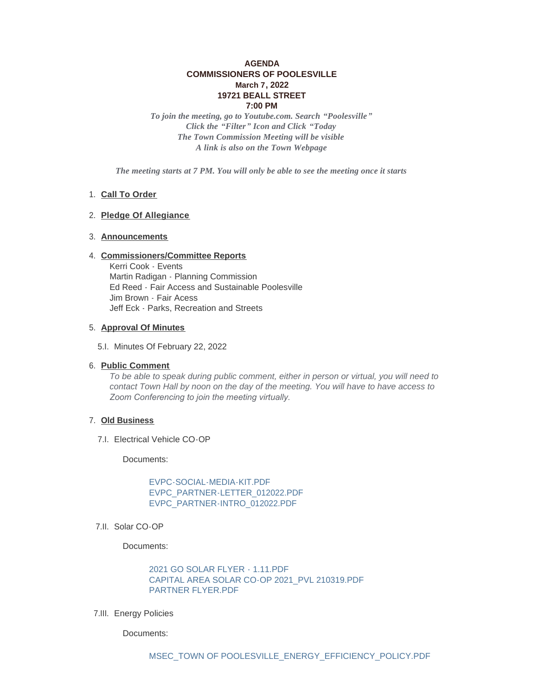# **AGENDA COMMISSIONERS OF POOLESVILLE March 7, 2022 19721 BEALL STREET 7:00 PM**

*To join the meeting, go to Youtube.com. Search "Poolesville" Click the "Filter" Icon and Click "Today The Town Commission Meeting will be visible A link is also on the Town Webpage*

*The meeting starts at 7 PM. You will only be able to see the meeting once it starts*

# 1. Call To Order

# **Pledge Of Allegiance** 2.

# **Announcements** 3.

#### **Commissioners/Committee Reports** 4.

Kerri Cook - Events Martin Radigan - Planning Commission Ed Reed - Fair Access and Sustainable Poolesville Jim Brown - Fair Acess Jeff Eck - Parks, Recreation and Streets

# **Approval Of Minutes** 5.

5.I. Minutes Of February 22, 2022

#### **Public Comment** 6.

*To be able to speak during public comment, either in person or virtual, you will need to contact Town Hall by noon on the day of the meeting. You will have to have access to Zoom Conferencing to join the meeting virtually.* 

#### **Old Business** 7.

7.I. Electrical Vehicle CO-OP

Documents:

[EVPC-SOCIAL-MEDIA-KIT.PDF](https://www.poolesvillemd.gov/AgendaCenter/ViewFile/Item/4115?fileID=6794) [EVPC\\_PARTNER-LETTER\\_012022.PDF](https://www.poolesvillemd.gov/AgendaCenter/ViewFile/Item/4115?fileID=6795) [EVPC\\_PARTNER-INTRO\\_012022.PDF](https://www.poolesvillemd.gov/AgendaCenter/ViewFile/Item/4115?fileID=6796)

7.II. Solar CO-OP

Documents:

[2021 GO SOLAR FLYER - 1.11.PDF](https://www.poolesvillemd.gov/AgendaCenter/ViewFile/Item/4130?fileID=6829) [CAPITAL AREA SOLAR CO-OP 2021\\_PVL 210319.PDF](https://www.poolesvillemd.gov/AgendaCenter/ViewFile/Item/4130?fileID=6830) [PARTNER FLYER.PDF](https://www.poolesvillemd.gov/AgendaCenter/ViewFile/Item/4130?fileID=6832)

7.III. Energy Policies

Documents: